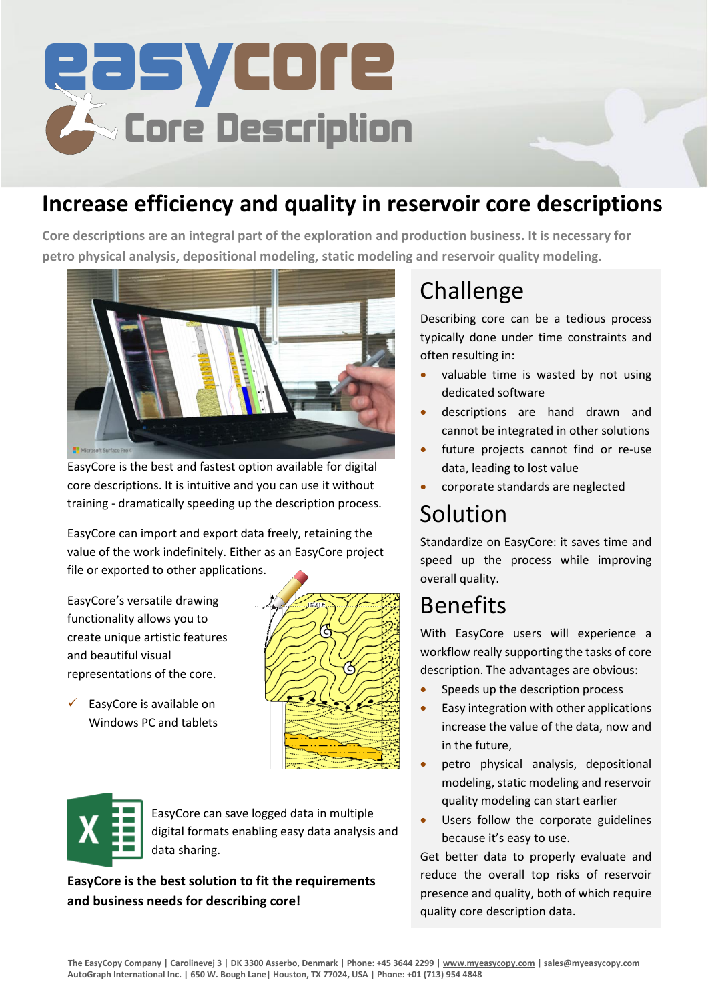

### **Increase efficiency and quality in reservoir core descriptions**

**Core descriptions are an integral part of the exploration and production business. It is necessary for petro physical analysis, depositional modeling, static modeling and reservoir quality modeling.**



EasyCore is the best and fastest option available for digital core descriptions. It is intuitive and you can use it without training - dramatically speeding up the description process.

EasyCore can import and export data freely, retaining the value of the work indefinitely. Either as an EasyCore project file or exported to other applications.

EasyCore's versatile drawing functionality allows you to create unique artistic features and beautiful visual representations of the core.



 $\checkmark$  EasyCore is available on Windows PC and tablets

EasyCore can save logged data in multiple digital formats enabling easy data analysis and data sharing.

**EasyCore is the best solution to fit the requirements and business needs for describing core!**

# Challenge

Describing core can be a tedious process typically done under time constraints and often resulting in:

- valuable time is wasted by not using dedicated software
- descriptions are hand drawn and cannot be integrated in other solutions
- future projects cannot find or re-use data, leading to lost value
- corporate standards are neglected

## Solution

Standardize on EasyCore: it saves time and speed up the process while improving overall quality.

### Benefits

With EasyCore users will experience a workflow really supporting the tasks of core description. The advantages are obvious:

- Speeds up the description process
- Easy integration with other applications increase the value of the data, now and in the future,
- petro physical analysis, depositional modeling, static modeling and reservoir quality modeling can start earlier
- Users follow the corporate guidelines because it's easy to use.

Get better data to properly evaluate and reduce the overall top risks of reservoir presence and quality, both of which require quality core description data.